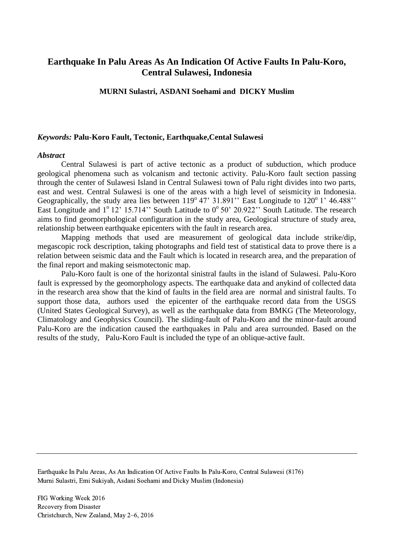# **Earthquake In Palu Areas As An Indication Of Active Faults In Palu-Koro, Central Sulawesi, Indonesia**

#### **MURNI Sulastri, ASDANI Soehami and DICKY Muslim**

#### *Keywords:* **Palu-Koro Fault, Tectonic, Earthquake,Cental Sulawesi**

#### *Abstract*

Central Sulawesi is part of active tectonic as a product of subduction, which produce geological phenomena such as volcanism and tectonic activity. Palu-Koro fault section passing through the center of Sulawesi Island in Central Sulawesi town of Palu right divides into two parts, east and west. Central Sulawesi is one of the areas with a high level of seismicity in Indonesia. Geographically, the study area lies between  $119^{\circ}$  47' 31.891'' East Longitude to  $120^{\circ}$  1' 46.488'' East Longitude and  $1^{\circ}$  12' 15.714'' South Latitude to  $0^{\circ}$  50' 20.922'' South Latitude. The research aims to find geomorphological configuration in the study area, Geological structure of study area, relationship between earthquake epicenters with the fault in research area.

Mapping methods that used are measurement of geological data include strike/dip, megascopic rock description, taking photographs and field test of statistical data to prove there is a relation between seismic data and the Fault which is located in research area, and the preparation of the final report and making seismotectonic map.

Palu-Koro fault is one of the horizontal sinistral faults in the island of Sulawesi. Palu-Koro fault is expressed by the geomorphology aspects. The earthquake data and anykind of collected data in the research area show that the kind of faults in the field area are normal and sinistral faults. To support those data, authors used the epicenter of the earthquake record data from the USGS (United States Geological Survey), as well as the earthquake data from BMKG (The Meteorology, Climatology and Geophysics Council). The sliding-fault of Palu-Koro and the minor-fault around Palu-Koro are the indication caused the earthquakes in Palu and area surrounded. Based on the results of the study, Palu-Koro Fault is included the type of an oblique-active fault.

Earthquake In Palu Areas, As An Indication Of Active Faults In Palu-Koro, Central Sulawesi (8176) Murni Sulastri, Emi Sukiyah, Asdani Soehami and Dicky Muslim (Indonesia)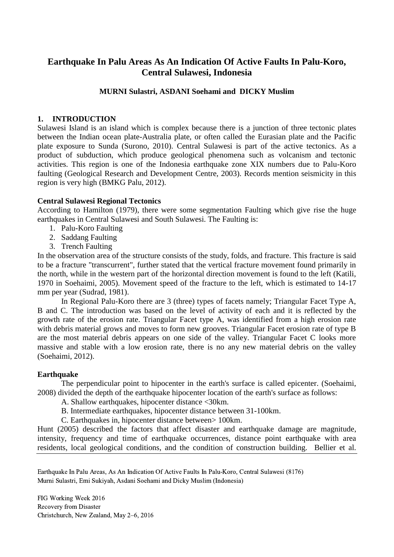# **Earthquake In Palu Areas As An Indication Of Active Faults In Palu-Koro, Central Sulawesi, Indonesia**

# **MURNI Sulastri, ASDANI Soehami and DICKY Muslim**

## **1. INTRODUCTION**

Sulawesi Island is an island which is complex because there is a junction of three tectonic plates between the Indian ocean plate-Australia plate, or often called the Eurasian plate and the Pacific plate exposure to Sunda (Surono, 2010). Central Sulawesi is part of the active tectonics. As a product of subduction, which produce geological phenomena such as volcanism and tectonic activities. This region is one of the Indonesia earthquake zone XIX numbers due to Palu-Koro faulting (Geological Research and Development Centre, 2003). Records mention seismicity in this region is very high (BMKG Palu, 2012).

## **Central Sulawesi Regional Tectonics**

According to Hamilton (1979), there were some segmentation Faulting which give rise the huge earthquakes in Central Sulawesi and South Sulawesi. The Faulting is:

- 1. Palu-Koro Faulting
- 2. Saddang Faulting
- 3. Trench Faulting

In the observation area of the structure consists of the study, folds, and fracture. This fracture is said to be a fracture "transcurrent", further stated that the vertical fracture movement found primarily in the north, while in the western part of the horizontal direction movement is found to the left (Katili, 1970 in Soehaimi, 2005). Movement speed of the fracture to the left, which is estimated to 14-17 mm per year (Sudrad, 1981).

In Regional Palu-Koro there are 3 (three) types of facets namely; Triangular Facet Type A, B and C. The introduction was based on the level of activity of each and it is reflected by the growth rate of the erosion rate. Triangular Facet type A, was identified from a high erosion rate with debris material grows and moves to form new grooves. Triangular Facet erosion rate of type B are the most material debris appears on one side of the valley. Triangular Facet C looks more massive and stable with a low erosion rate, there is no any new material debris on the valley (Soehaimi, 2012).

## **Earthquake**

The perpendicular point to hipocenter in the earth's surface is called epicenter. (Soehaimi, 2008) divided the depth of the earthquake hipocenter location of the earth's surface as follows:

- A. Shallow earthquakes, hipocenter distance <30km.
- B. Intermediate earthquakes, hipocenter distance between 31-100km.
- C. Earthquakes in, hipocenter distance between> 100km.

Hunt (2005) described the factors that affect disaster and earthquake damage are magnitude, intensity, frequency and time of earthquake occurrences, distance point earthquake with area residents, local geological conditions, and the condition of construction building. Bellier et al.

Earthquake In Palu Areas, As An Indication Of Active Faults In Palu-Koro, Central Sulawesi (8176) Murni Sulastri, Emi Sukiyah, Asdani Soehami and Dicky Muslim (Indonesia)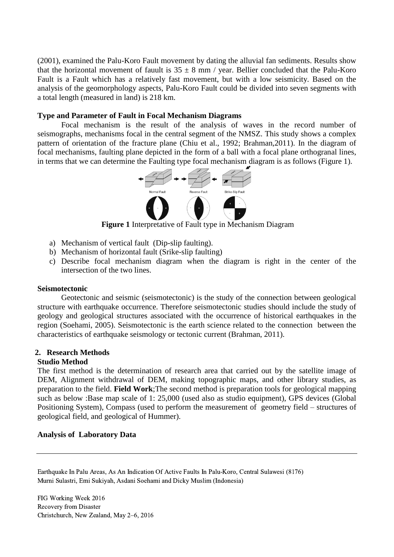(2001), examined the Palu-Koro Fault movement by dating the alluvial fan sediments. Results show that the horizontal movement of fauult is  $35 \pm 8$  mm / year. Bellier concluded that the Palu-Koro Fault is a Fault which has a relatively fast movement, but with a low seismicity. Based on the analysis of the geomorphology aspects, Palu-Koro Fault could be divided into seven segments with a total length (measured in land) is 218 km.

#### **Type and Parameter of Fault in Focal Mechanism Diagrams**

Focal mechanism is the result of the analysis of waves in the record number of seismographs, mechanisms focal in the central segment of the NMSZ. This study shows a complex pattern of orientation of the fracture plane (Chiu et al., 1992; Brahman,2011). In the diagram of focal mechanisms, faulting plane depicted in the form of a ball with a focal plane orthogranal lines, in terms that we can determine the Faulting type focal mechanism diagram is as follows (Figure 1).



**Figure 1** Interpretative of Fault type in Mechanism Diagram

- a) Mechanism of vertical fault (Dip-slip faulting).
- b) Mechanism of horizontal fault (Srike-slip faulting)
- c) Describe focal mechanism diagram when the diagram is right in the center of the intersection of the two lines.

#### **Seismotectonic**

Geotectonic and seismic (seismotectonic) is the study of the connection between geological structure with earthquake occurrence. Therefore seismotectonic studies should include the study of geology and geological structures associated with the occurrence of historical earthquakes in the region (Soehami, 2005). Seismotectonic is the earth science related to the connection between the characteristics of earthquake seismology or tectonic current (Brahman, 2011).

## **2. Research Methods**

## **Studio Method**

The first method is the determination of research area that carried out by the satellite image of DEM, Alignment withdrawal of DEM, making topographic maps, and other library studies, as preparation to the field. **Field Work**;The second method is preparation tools for geological mapping such as below :Base map scale of 1: 25,000 (used also as studio equipment), GPS devices (Global Positioning System), Compass (used to perform the measurement of geometry field – structures of geological field, and geological of Hummer).

## **Analysis of Laboratory Data**

Earthquake In Palu Areas, As An Indication Of Active Faults In Palu-Koro, Central Sulawesi (8176) Murni Sulastri, Emi Sukiyah, Asdani Soehami and Dicky Muslim (Indonesia)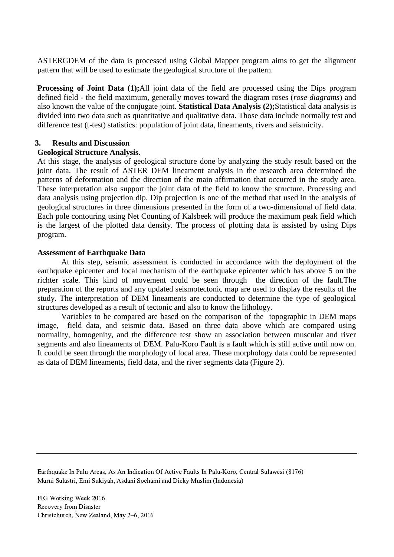ASTERGDEM of the data is processed using Global Mapper program aims to get the alignment pattern that will be used to estimate the geological structure of the pattern.

**Processing of Joint Data** (1);All joint data of the field are processed using the Dips program defined field - the field maximum, generally moves toward the diagram roses (*rose diagrams*) and also known the value of the conjugate joint. **Statistical Data Analysis (2);**Statistical data analysis is divided into two data such as quantitative and qualitative data. Those data include normally test and difference test (t-test) statistics: population of joint data, lineaments, rivers and seismicity.

#### **3. Results and Discussion**

#### **Geological Structure Analysis.**

At this stage, the analysis of geological structure done by analyzing the study result based on the joint data. The result of ASTER DEM lineament analysis in the research area determined the patterns of deformation and the direction of the main affirmation that occurred in the study area. These interpretation also support the joint data of the field to know the structure. Processing and data analysis using projection dip. Dip projection is one of the method that used in the analysis of geological structures in three dimensions presented in the form of a two-dimensional of field data. Each pole contouring using Net Counting of Kalsbeek will produce the maximum peak field which is the largest of the plotted data density. The process of plotting data is assisted by using Dips program.

#### **Assessment of Earthquake Data**

At this step, seismic assessment is conducted in accordance with the deployment of the earthquake epicenter and focal mechanism of the earthquake epicenter which has above 5 on the richter scale. This kind of movement could be seen through the direction of the fault.The preparation of the reports and any updated seismotectonic map are used to display the results of the study. The interpretation of DEM lineaments are conducted to determine the type of geological structures developed as a result of tectonic and also to know the lithology.

Variables to be compared are based on the comparison of the topographic in DEM maps image, field data, and seismic data. Based on three data above which are compared using normality, homogenity, and the difference test show an association between muscular and river segments and also lineaments of DEM. Palu-Koro Fault is a fault which is still active until now on. It could be seen through the morphology of local area. These morphology data could be represented as data of DEM lineaments, field data, and the river segments data (Figure 2).

Earthquake In Palu Areas, As An Indication Of Active Faults In Palu-Koro, Central Sulawesi (8176) Murni Sulastri, Emi Sukiyah, Asdani Soehami and Dicky Muslim (Indonesia)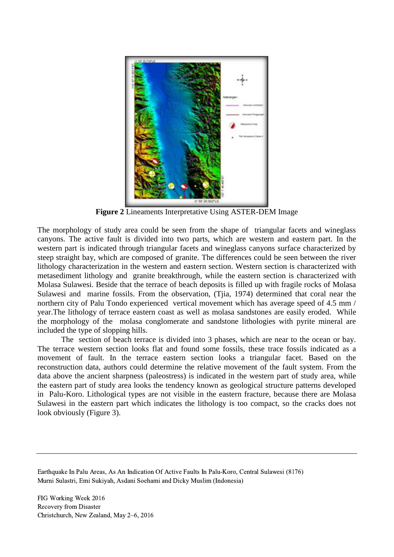

**Figure 2** Lineaments Interpretative Using ASTER-DEM Image

The morphology of study area could be seen from the shape of triangular facets and wineglass canyons. The active fault is divided into two parts, which are western and eastern part. In the western part is indicated through triangular facets and wineglass canyons surface characterized by steep straight bay, which are composed of granite. The differences could be seen between the river lithology characterization in the western and eastern section. Western section is characterized with metasediment lithology and granite breakthrough, while the eastern section is characterized with Molasa Sulawesi. Beside that the terrace of beach deposits is filled up with fragile rocks of Molasa Sulawesi and marine fossils. From the observation, (Tjia, 1974) determined that coral near the northern city of Palu Tondo experienced vertical movement which has average speed of 4.5 mm / year.The lithology of terrace eastern coast as well as molasa sandstones are easily eroded. While the morphology of the molasa conglomerate and sandstone lithologies with pyrite mineral are included the type of slopping hills.

The section of beach terrace is divided into 3 phases, which are near to the ocean or bay. The terrace western section looks flat and found some fossils, these trace fossils indicated as a movement of fault. In the terrace eastern section looks a triangular facet. Based on the reconstruction data, authors could determine the relative movement of the fault system. From the data above the ancient sharpness (paleostress) is indicated in the western part of study area, while the eastern part of study area looks the tendency known as geological structure patterns developed in Palu-Koro. Lithological types are not visible in the eastern fracture, because there are Molasa Sulawesi in the eastern part which indicates the lithology is too compact, so the cracks does not look obviously (Figure 3).

Earthquake In Palu Areas, As An Indication Of Active Faults In Palu-Koro, Central Sulawesi (8176) Murni Sulastri, Emi Sukiyah, Asdani Soehami and Dicky Muslim (Indonesia)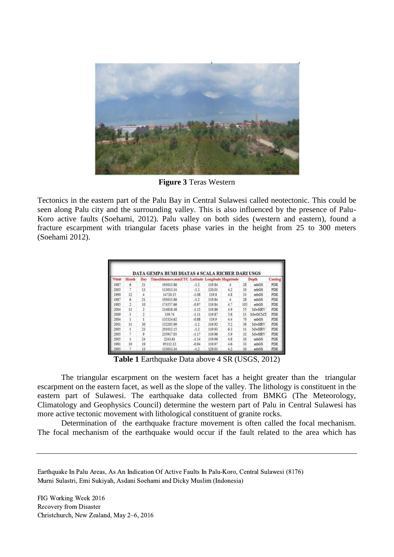

**Figure 3** Teras Western

Tectonics in the eastern part of the Palu Bay in Central Sulawesi called neotectonic. This could be seen along Palu city and the surrounding valley. This is also influenced by the presence of Palu-Koro active faults (Soehami, 2012). Palu valley on both sides (western and eastern), found a fracture escarpment with triangular facets phase varies in the height from 25 to 300 meters (Soehami 2012).

| Year | Month          | Dav            | Time(hhmmss.mm)UTC Latitude Longitude Magnitude |         |        |     | Depth |        | Catalog    |
|------|----------------|----------------|-------------------------------------------------|---------|--------|-----|-------|--------|------------|
| 1987 | 6              | 21             | 193013.86                                       | $-1.2$  | 119.84 | ă.  | 28    | mbGS   | <b>PDE</b> |
| 2005 | 7              | 13             | 113013.34                                       | $-1.2$  | 120.01 | 4.2 | 10    | mbGS   | PDE        |
| 1990 | 12             | 4              | 14720.15                                        | $-1.08$ | 119.8  | 4.8 | 33    | mbGS   | PDE        |
| 1987 | 6              | 21             | 193013.86                                       | $-1.2$  | 119.84 | 4   | 28    | mbGS   | PDE        |
| 1985 | $\overline{2}$ | 10             | 174557.66                                       | $-0.97$ | 119.84 | 4.7 | 105   | mbGS   | PDE        |
| 2004 | 11             | $\overline{2}$ | 214818.48                                       | $-1.15$ | 119.86 | 4.9 | 55    | MwHRV  | PDE        |
| 2009 | 3              | $\mathbf{2}$   | 339.74                                          | $-1.11$ | 119.87 | 5.6 | 11    | MwGCMT | PDE        |
| 2004 | 1              |                | 135324.62                                       | $-0.88$ | 119.9  | 4.4 | 70    | mbGS   | PDE        |
| 2001 | 11             | 30             | 152205.99                                       | $-1.2$  | 119.92 | 5.2 | 38    | MwHRV  | PDE        |
| 2005 | 1              | 23             | 201012.15                                       | $-1.2$  | 119.93 | 63  | 11    | MwHRV  | PDE        |
| 2005 | 7              | 9              | 235917.03                                       | $-1.17$ | 119.96 | 5.9 | 32    | MwHRV  | PDE        |
| 2005 | 1              | 24             | 2243.61                                         | $-1.14$ | 119.96 | 4.8 | 10    | mbGS   | PDE        |
| 1981 | 10             | 19             | 95112.32                                        | $-0.94$ | 119.97 | 4.6 | 33    | mbGS   | PDE        |
| 2005 |                | 13             | 113013.34                                       | $-1.2$  | 120.01 | 4.2 | 10    | mbGS   | PDE        |

**Table 1** Earthquake Data above 4 SR (USGS, 2012)

The triangular escarpment on the western facet has a height greater than the triangular escarpment on the eastern facet, as well as the slope of the valley. The lithology is constituent in the eastern part of Sulawesi. The earthquake data collected from BMKG (The Meteorology, Climatology and Geophysics Council) determine the western part of Palu in Central Sulawesi has more active tectonic movement with lithological constituent of granite rocks.

Determination of the earthquake fracture movement is often called the focal mechanism. The focal mechanism of the earthquake would occur if the fault related to the area which has

Earthquake In Palu Areas, As An Indication Of Active Faults In Palu-Koro, Central Sulawesi (8176) Murni Sulastri, Emi Sukiyah, Asdani Soehami and Dicky Muslim (Indonesia)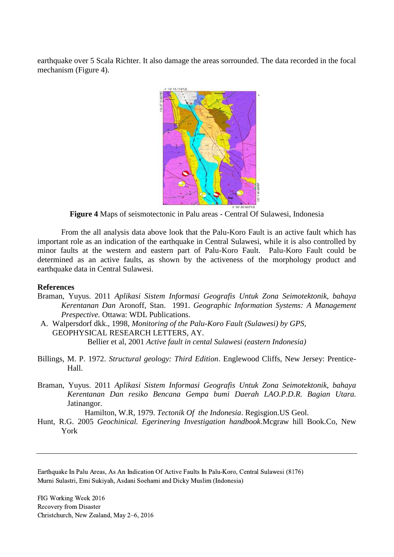earthquake over 5 Scala Richter. It also damage the areas sorrounded. The data recorded in the focal mechanism (Figure 4).



**Figure 4** Maps of seismotectonic in Palu areas - Central Of Sulawesi, Indonesia

From the all analysis data above look that the Palu-Koro Fault is an active fault which has important role as an indication of the earthquake in Central Sulawesi, while it is also controlled by minor faults at the western and eastern part of Palu-Koro Fault. Palu-Koro Fault could be determined as an active faults, as shown by the activeness of the morphology product and earthquake data in Central Sulawesi.

#### **References**

- Braman, Yuyus. 2011 *Aplikasi Sistem Informasi Geografis Untuk Zona Seimotektonik, bahaya Kerentanan Dan* Aronoff, Stan. 1991. *Geographic Information Systems: A Management Prespective.* Ottawa: WDL Publications.
- A. Walpersdorf dkk., 1998, *Monitoring of the Palu-Koro Fault (Sulawesi) by GPS,* GEOPHYSICAL RESEARCH LETTERS, AY. Bellier et al, 2001 *Active fault in cental Sulawesi (eastern Indonesia)*
- Billings, M. P. 1972. *Structural geology: Third Edition*. Englewood Cliffs, New Jersey: Prentice-Hall.
- Braman, Yuyus. 2011 *Aplikasi Sistem Informasi Geografis Untuk Zona Seimotektonik, bahaya Kerentanan Dan resiko Bencana Gempa bumi Daerah LAO.P.D.R. Bagian Utara.* Jatinangor.

Hamilton, W.R, 1979. *Tectonik Of the Indonesia*. Regisgion.US Geol.

Hunt, R.G. 2005 *Geochinical. Egerinering Investigation handbook*.Mcgraw hill Book.Co, New York

Earthquake In Palu Areas, As An Indication Of Active Faults In Palu-Koro, Central Sulawesi (8176) Murni Sulastri, Emi Sukiyah, Asdani Soehami and Dicky Muslim (Indonesia)